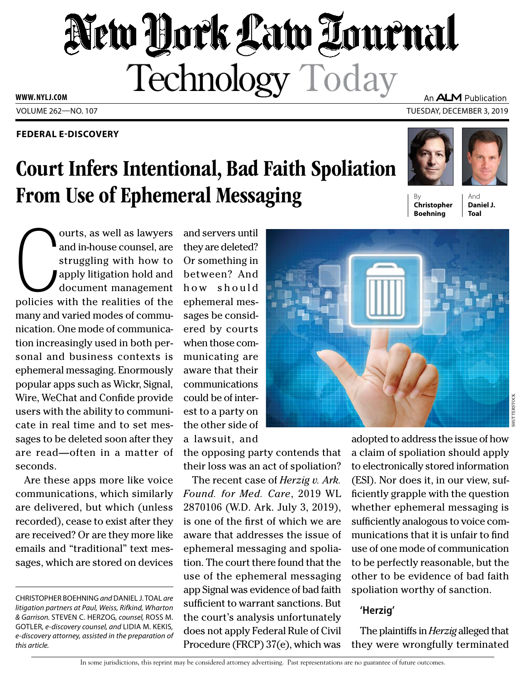## New York Law Tournal Technology Today **WWW. NYLJ.COM** An **ALM** Publication

VOLUME 262—NO. 107 TUESDAY, DECEMBER 3, 2019

### **FEDERAL E-DISCOVERY**

# Court Infers Intentional, Bad Faith Spoliation From Use of Ephemeral Messaging

ourts, as well as lawyers<br>and in-house counsel, are<br>struggling with how to<br>apply litigation hold and<br>document management<br>policies with the realities of the ourts, as well as lawyers and in-house counsel, are struggling with how to apply litigation hold and document management many and varied modes of communication. One mode of communication increasingly used in both personal and business contexts is ephemeral messaging. Enormously popular apps such as Wickr, Signal, Wire, WeChat and Confide provide users with the ability to communicate in real time and to set messages to be deleted soon after they are read—often in a matter of seconds.

Are these apps more like voice communications, which similarly are delivered, but which (unless recorded), cease to exist after they are received? Or are they more like emails and "traditional" text messages, which are stored on devices

CHRISTOPHER BOEHNING *and* DANIEL J. TOAL *are litigation partners at Paul, Weiss, Rifkind, Wharton & Garrison.* STEVEN C. HERZOG*, counsel,* ROSS M. GOTLER*, e-discovery counsel, and* LIDIA M. KEKIS*, e-discovery attorney, assisted in the preparation of this article.*

and servers until they are deleted? Or something in between? And how should ephemeral messages be considered by courts when those communicating are aware that their communications could be of interest to a party on the other side of a lawsuit, and

the opposing party contends that their loss was an act of spoliation?

The recent case of *Herzig v. Ark. Found. for Med. Care*, 2019 WL 2870106 (W.D. Ark. July 3, 2019), is one of the first of which we are aware that addresses the issue of ephemeral messaging and spoliation. The court there found that the use of the ephemeral messaging app Signal was evidence of bad faith sufficient to warrant sanctions. But the court's analysis unfortunately does not apply Federal Rule of Civil Procedure (FRCP) 37(e), which was

By **Christopher Boehning**

And **Daniel J. Toal**



adopted to address the issue of how a claim of spoliation should apply to electronically stored information (ESI). Nor does it, in our view, sufficiently grapple with the question whether ephemeral messaging is sufficiently analogous to voice communications that it is unfair to find use of one mode of communication to be perfectly reasonable, but the other to be evidence of bad faith spoliation worthy of sanction.

### **'Herzig'**

The plaintiffs in *Herzig* alleged that they were wrongfully terminated

In some jurisdictions, this reprint may be considered attorney advertising. Past representations are no guarantee of future outcomes.

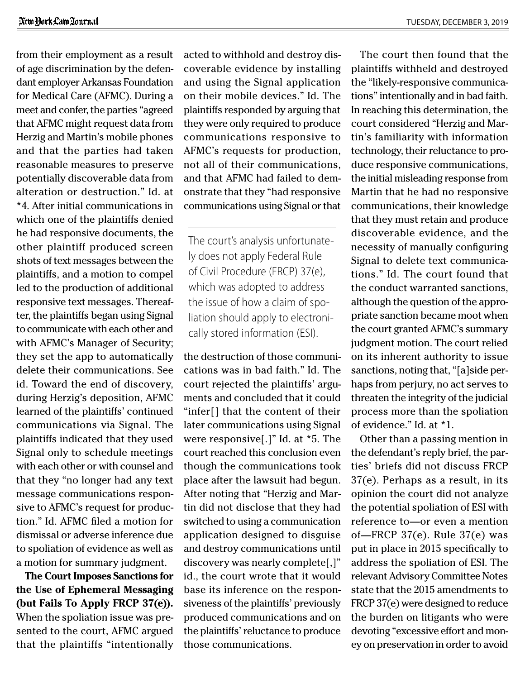from their employment as a result of age discrimination by the defendant employer Arkansas Foundation for Medical Care (AFMC). During a meet and confer, the parties "agreed that AFMC might request data from Herzig and Martin's mobile phones and that the parties had taken reasonable measures to preserve potentially discoverable data from alteration or destruction." Id. at \*4. After initial communications in which one of the plaintiffs denied he had responsive documents, the other plaintiff produced screen shots of text messages between the plaintiffs, and a motion to compel led to the production of additional responsive text messages. Thereafter, the plaintiffs began using Signal to communicate with each other and with AFMC's Manager of Security; they set the app to automatically delete their communications. See id. Toward the end of discovery, during Herzig's deposition, AFMC learned of the plaintiffs' continued communications via Signal. The plaintiffs indicated that they used Signal only to schedule meetings with each other or with counsel and that they "no longer had any text message communications responsive to AFMC's request for production." Id. AFMC filed a motion for dismissal or adverse inference due to spoliation of evidence as well as a motion for summary judgment.

**The Court Imposes Sanctions for the Use of Ephemeral Messaging (but Fails To Apply FRCP 37(e)).** When the spoliation issue was presented to the court, AFMC argued that the plaintiffs "intentionally acted to withhold and destroy discoverable evidence by installing and using the Signal application on their mobile devices." Id. The plaintiffs responded by arguing that they were only required to produce communications responsive to AFMC's requests for production, not all of their communications, and that AFMC had failed to demonstrate that they "had responsive communications using Signal or that

The court's analysis unfortunately does not apply Federal Rule of Civil Procedure (FRCP) 37(e), which was adopted to address the issue of how a claim of spoliation should apply to electronically stored information (ESI).

the destruction of those communications was in bad faith." Id. The court rejected the plaintiffs' arguments and concluded that it could "infer[] that the content of their later communications using Signal were responsive[.]" Id. at \*5. The court reached this conclusion even though the communications took place after the lawsuit had begun. After noting that "Herzig and Martin did not disclose that they had switched to using a communication application designed to disguise and destroy communications until discovery was nearly complete[,]" id., the court wrote that it would base its inference on the responsiveness of the plaintiffs' previously produced communications and on the plaintiffs' reluctance to produce those communications.

The court then found that the plaintiffs withheld and destroyed the "likely-responsive communications" intentionally and in bad faith. In reaching this determination, the court considered "Herzig and Martin's familiarity with information technology, their reluctance to produce responsive communications, the initial misleading response from Martin that he had no responsive communications, their knowledge that they must retain and produce discoverable evidence, and the necessity of manually configuring Signal to delete text communications." Id. The court found that the conduct warranted sanctions, although the question of the appropriate sanction became moot when the court granted AFMC's summary judgment motion. The court relied on its inherent authority to issue sanctions, noting that, "[a]side perhaps from perjury, no act serves to threaten the integrity of the judicial process more than the spoliation of evidence." Id. at \*1.

Other than a passing mention in the defendant's reply brief, the parties' briefs did not discuss FRCP 37(e). Perhaps as a result, in its opinion the court did not analyze the potential spoliation of ESI with reference to—or even a mention of—FRCP 37(e). Rule 37(e) was put in place in 2015 specifically to address the spoliation of ESI. The relevant Advisory Committee Notes state that the 2015 amendments to FRCP 37(e) were designed to reduce the burden on litigants who were devoting "excessive effort and money on preservation in order to avoid